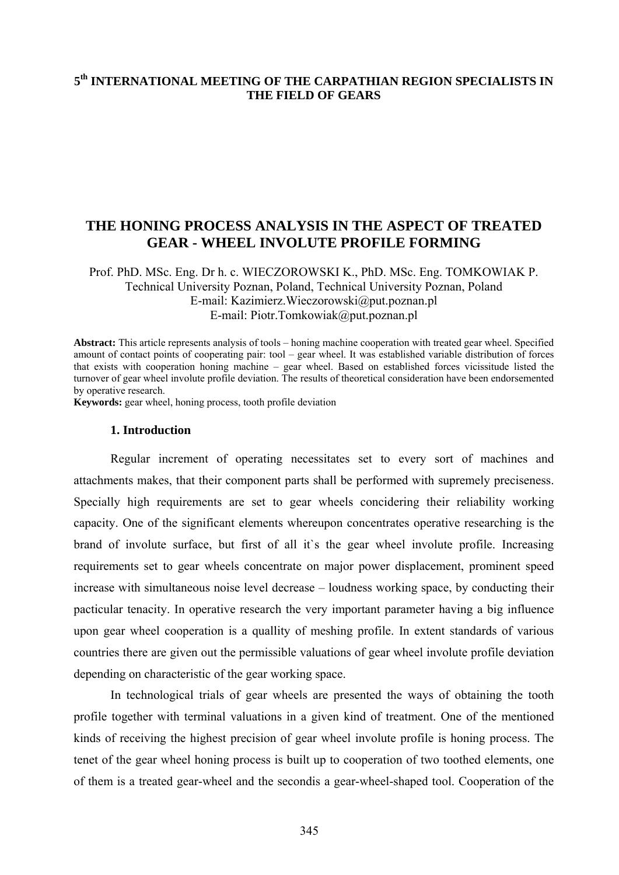# **5th INTERNATIONAL MEETING OF THE CARPATHIAN REGION SPECIALISTS IN THE FIELD OF GEARS**

# **THE HONING PROCESS ANALYSIS IN THE ASPECT OF TREATED GEAR - WHEEL INVOLUTE PROFILE FORMING**

Prof. PhD. MSc. Eng. Dr h. c. WIECZOROWSKI K., PhD. MSc. Eng. TOMKOWIAK P. Technical University Poznan, Poland, Technical University Poznan, Poland E-mail: Kazimierz.Wieczorowski@put.poznan.pl E-mail: Piotr.Tomkowiak@put.poznan.pl

**Abstract:** This article represents analysis of tools – honing machine cooperation with treated gear wheel. Specified amount of contact points of cooperating pair: tool – gear wheel. It was established variable distribution of forces that exists with cooperation honing machine – gear wheel. Based on established forces vicissitude listed the turnover of gear wheel involute profile deviation. The results of theoretical consideration have been endorsemented by operative research.

**Keywords:** gear wheel, honing process, tooth profile deviation

#### **1. Introduction**

Regular increment of operating necessitates set to every sort of machines and attachments makes, that their component parts shall be performed with supremely preciseness. Specially high requirements are set to gear wheels concidering their reliability working capacity. One of the significant elements whereupon concentrates operative researching is the brand of involute surface, but first of all it`s the gear wheel involute profile. Increasing requirements set to gear wheels concentrate on major power displacement, prominent speed increase with simultaneous noise level decrease – loudness working space, by conducting their pacticular tenacity. In operative research the very important parameter having a big influence upon gear wheel cooperation is a quallity of meshing profile. In extent standards of various countries there are given out the permissible valuations of gear wheel involute profile deviation depending on characteristic of the gear working space.

 In technological trials of gear wheels are presented the ways of obtaining the tooth profile together with terminal valuations in a given kind of treatment. One of the mentioned kinds of receiving the highest precision of gear wheel involute profile is honing process. The tenet of the gear wheel honing process is built up to cooperation of two toothed elements, one of them is a treated gear-wheel and the secondis a gear-wheel-shaped tool. Cooperation of the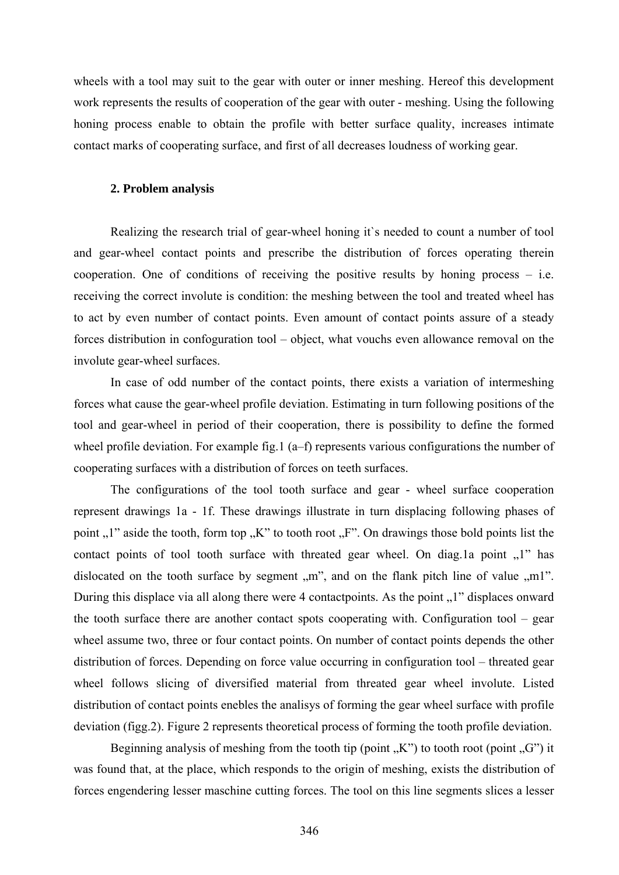wheels with a tool may suit to the gear with outer or inner meshing. Hereof this development work represents the results of cooperation of the gear with outer - meshing. Using the following honing process enable to obtain the profile with better surface quality, increases intimate contact marks of cooperating surface, and first of all decreases loudness of working gear.

### **2. Problem analysis**

 Realizing the research trial of gear-wheel honing it`s needed to count a number of tool and gear-wheel contact points and prescribe the distribution of forces operating therein cooperation. One of conditions of receiving the positive results by honing process – i.e. receiving the correct involute is condition: the meshing between the tool and treated wheel has to act by even number of contact points. Even amount of contact points assure of a steady forces distribution in confoguration tool – object, what vouchs even allowance removal on the involute gear-wheel surfaces.

 In case of odd number of the contact points, there exists a variation of intermeshing forces what cause the gear-wheel profile deviation. Estimating in turn following positions of the tool and gear-wheel in period of their cooperation, there is possibility to define the formed wheel profile deviation. For example fig.1 (a–f) represents various configurations the number of cooperating surfaces with a distribution of forces on teeth surfaces.

 The configurations of the tool tooth surface and gear - wheel surface cooperation represent drawings 1a - 1f. These drawings illustrate in turn displacing following phases of point  $\mu$ <sup>"</sup> aside the tooth, form top  $\mu$ <sup>"</sup> to tooth root  $\mu$ <sup>"</sup>. On drawings those bold points list the contact points of tool tooth surface with threated gear wheel. On diag.1a point  $\mu$ <sup>"</sup> has dislocated on the tooth surface by segment  $\mu$ <sup>"</sup>, and on the flank pitch line of value  $\mu$ m1". During this displace via all along there were 4 contactpoints. As the point  $\Lambda$ <sup>1</sup> displaces onward the tooth surface there are another contact spots cooperating with. Configuration tool – gear wheel assume two, three or four contact points. On number of contact points depends the other distribution of forces. Depending on force value occurring in configuration tool – threated gear wheel follows slicing of diversified material from threated gear wheel involute. Listed distribution of contact points enebles the analisys of forming the gear wheel surface with profile deviation (figg.2). Figure 2 represents theoretical process of forming the tooth profile deviation.

Beginning analysis of meshing from the tooth tip (point  $K''$ ) to tooth root (point  $G''$ ) it was found that, at the place, which responds to the origin of meshing, exists the distribution of forces engendering lesser maschine cutting forces. The tool on this line segments slices a lesser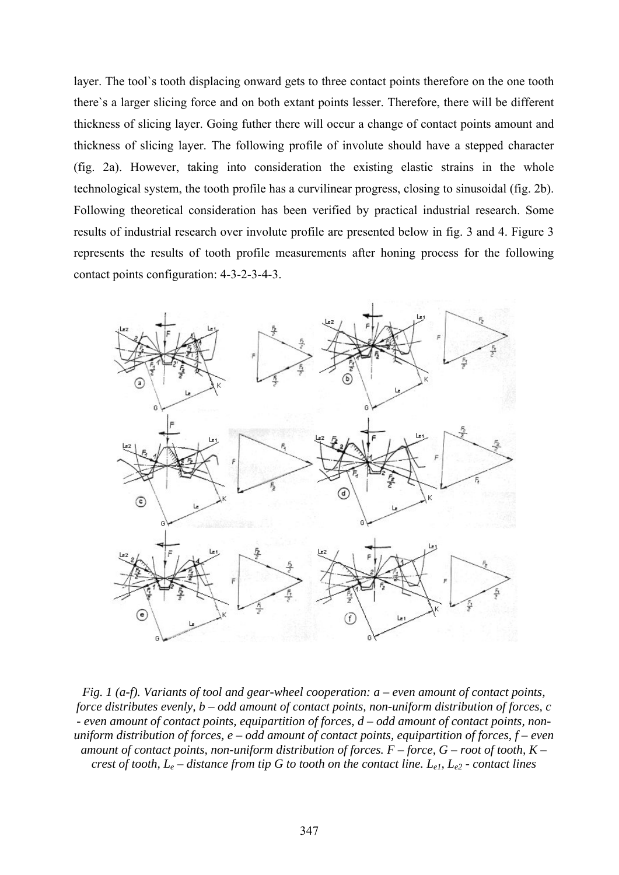layer. The tool`s tooth displacing onward gets to three contact points therefore on the one tooth there`s a larger slicing force and on both extant points lesser. Therefore, there will be different thickness of slicing layer. Going futher there will occur a change of contact points amount and thickness of slicing layer. The following profile of involute should have a stepped character (fig. 2a). However, taking into consideration the existing elastic strains in the whole technological system, the tooth profile has a curvilinear progress, closing to sinusoidal (fig. 2b). Following theoretical consideration has been verified by practical industrial research. Some results of industrial research over involute profile are presented below in fig. 3 and 4. Figure 3 represents the results of tooth profile measurements after honing process for the following contact points configuration: 4-3-2-3-4-3.



*Fig. 1 (a-f). Variants of tool and gear-wheel cooperation: a – even amount of contact points, force distributes evenly, b – odd amount of contact points, non-uniform distribution of forces, c - even amount of contact points, equipartition of forces, d – odd amount of contact points, nonuniform distribution of forces, e – odd amount of contact points, equipartition of forces, f – even amount of contact points, non-uniform distribution of forces. F – force, G – root of tooth, K – crest of tooth, Le – distance from tip G to tooth on the contact line. Le1, Le2 - contact lines*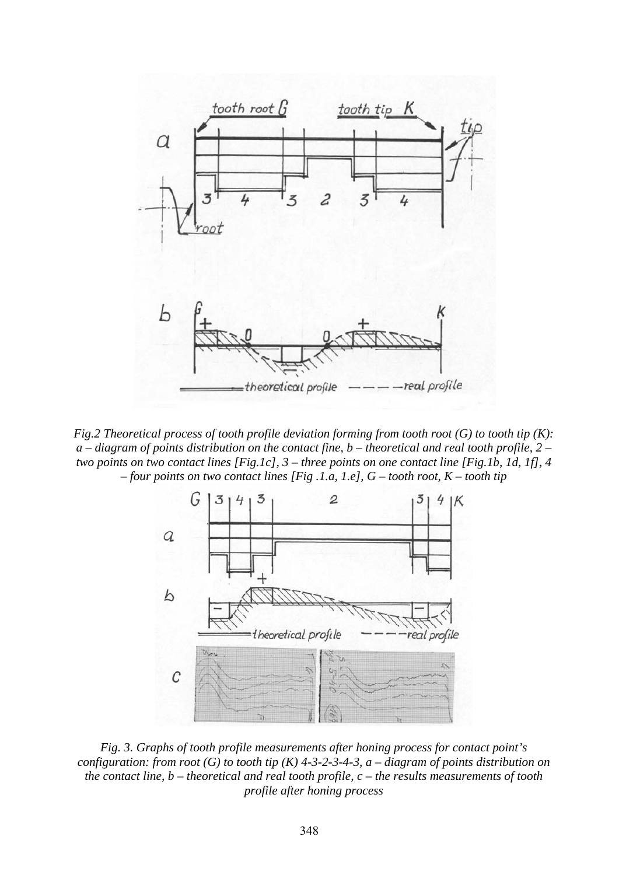

*Fig.2 Theoretical process of tooth profile deviation forming from tooth root (G) to tooth tip (K): a – diagram of points distribution on the contact fine, b – theoretical and real tooth profile, 2 – two points on two contact lines [Fig.1c], 3 – three points on one contact line [Fig.1b, 1d, 1f], 4 – four points on two contact lines [Fig .1.a, 1.e], G – tooth root, K – tooth tip* 



*Fig. 3. Graphs of tooth profile measurements after honing process for contact point's configuration: from root (G) to tooth tip (K) 4-3-2-3-4-3, a – diagram of points distribution on the contact line, b – theoretical and real tooth profile, c – the results measurements of tooth profile after honing process*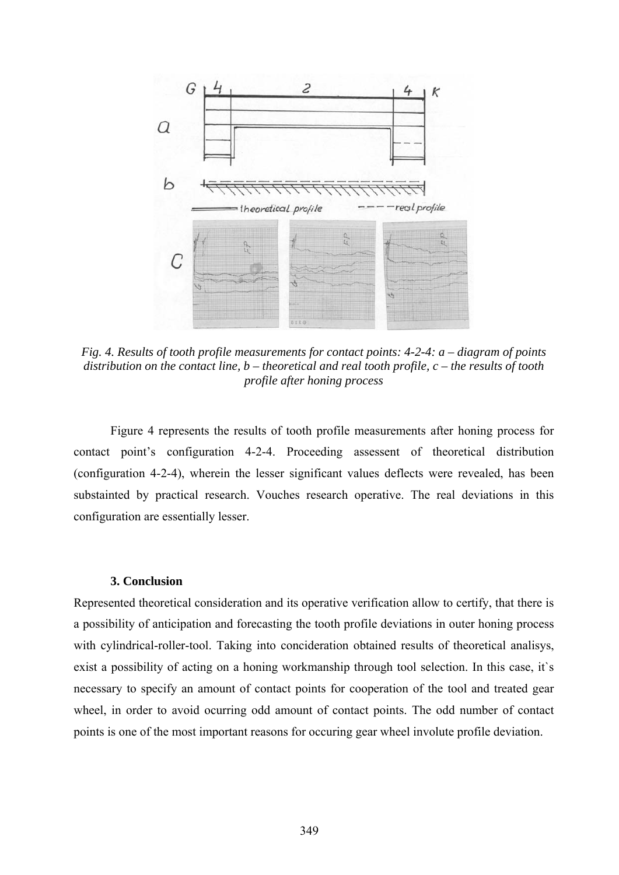

*Fig. 4. Results of tooth profile measurements for contact points: 4-2-4: a – diagram of points distribution on the contact line, b – theoretical and real tooth profile, c – the results of tooth profile after honing process* 

 Figure 4 represents the results of tooth profile measurements after honing process for contact point's configuration 4-2-4. Proceeding assessent of theoretical distribution (configuration 4-2-4), wherein the lesser significant values deflects were revealed, has been substainted by practical research. Vouches research operative. The real deviations in this configuration are essentially lesser.

#### **3. Conclusion**

Represented theoretical consideration and its operative verification allow to certify, that there is a possibility of anticipation and forecasting the tooth profile deviations in outer honing process with cylindrical-roller-tool. Taking into concideration obtained results of theoretical analisys, exist a possibility of acting on a honing workmanship through tool selection. In this case, it's necessary to specify an amount of contact points for cooperation of the tool and treated gear wheel, in order to avoid ocurring odd amount of contact points. The odd number of contact points is one of the most important reasons for occuring gear wheel involute profile deviation.